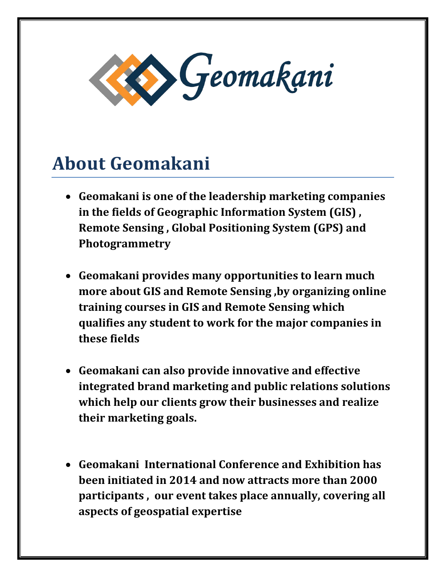

## **About Geomakani**

- **Geomakani is one of the leadership marketing companies in the fields of Geographic Information System (GIS) , Remote Sensing , Global Positioning System (GPS) and Photogrammetry**
- **Geomakani provides many opportunities to learn much more about GIS and Remote Sensing ,by organizing online training courses in GIS and Remote Sensing which qualifies any student to work for the major companies in these fields**
- **Geomakani can also provide innovative and effective integrated brand marketing and public relations solutions which help our clients grow their businesses and realize their marketing goals.**
- **Geomakani International Conference and Exhibition has been initiated in 2014 and now attracts more than 2000 participants , our event takes place annually, covering all aspects of geospatial expertise**